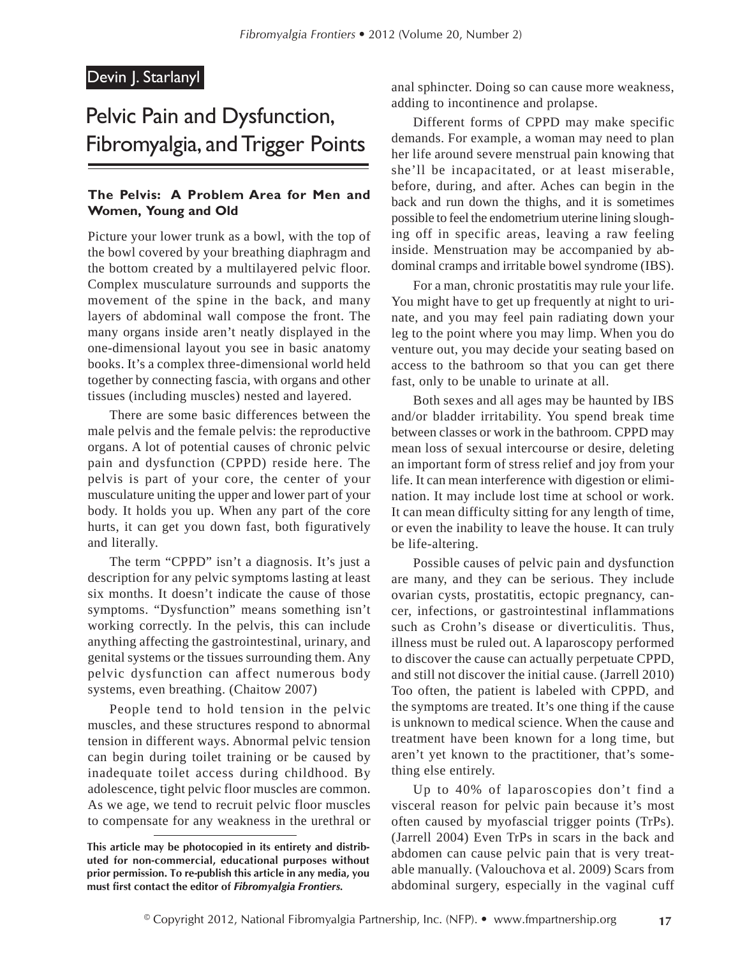### Devin J. Starlanyl

# Pelvic Pain and Dysfunction, Fibromyalgia, and Trigger Points

#### **The Pelvis: A Problem Area for Men and Women, Young and Old**

Picture your lower trunk as a bowl, with the top of the bowl covered by your breathing diaphragm and the bottom created by a multilayered pelvic floor. Complex musculature surrounds and supports the movement of the spine in the back, and many layers of abdominal wall compose the front. The many organs inside aren't neatly displayed in the one-dimensional layout you see in basic anatomy books. It's a complex three-dimensional world held together by connecting fascia, with organs and other tissues (including muscles) nested and layered.

There are some basic differences between the male pelvis and the female pelvis: the reproductive organs. A lot of potential causes of chronic pelvic pain and dysfunction (CPPD) reside here. The pelvis is part of your core, the center of your musculature uniting the upper and lower part of your body. It holds you up. When any part of the core hurts, it can get you down fast, both figuratively and literally.

The term "CPPD" isn't a diagnosis. It's just a description for any pelvic symptoms lasting at least six months. It doesn't indicate the cause of those symptoms. "Dysfunction" means something isn't working correctly. In the pelvis, this can include anything affecting the gastrointestinal, urinary, and genital systems or the tissues surrounding them. Any pelvic dysfunction can affect numerous body systems, even breathing. (Chaitow 2007)

People tend to hold tension in the pelvic muscles, and these structures respond to abnormal tension in different ways. Abnormal pelvic tension can begin during toilet training or be caused by inadequate toilet access during childhood. By adolescence, tight pelvic floor muscles are common. As we age, we tend to recruit pelvic floor muscles to compensate for any weakness in the urethral or

anal sphincter. Doing so can cause more weakness, adding to incontinence and prolapse.

Different forms of CPPD may make specific demands. For example, a woman may need to plan her life around severe menstrual pain knowing that she'll be incapacitated, or at least miserable, before, during, and after. Aches can begin in the back and run down the thighs, and it is sometimes possible to feel the endometrium uterine lining sloughing off in specific areas, leaving a raw feeling inside. Menstruation may be accompanied by abdominal cramps and irritable bowel syndrome (IBS).

For a man, chronic prostatitis may rule your life. You might have to get up frequently at night to urinate, and you may feel pain radiating down your leg to the point where you may limp. When you do venture out, you may decide your seating based on access to the bathroom so that you can get there fast, only to be unable to urinate at all.

Both sexes and all ages may be haunted by IBS and/or bladder irritability. You spend break time between classes or work in the bathroom. CPPD may mean loss of sexual intercourse or desire, deleting an important form of stress relief and joy from your life. It can mean interference with digestion or elimination. It may include lost time at school or work. It can mean difficulty sitting for any length of time, or even the inability to leave the house. It can truly be life-altering.

Possible causes of pelvic pain and dysfunction are many, and they can be serious. They include ovarian cysts, prostatitis, ectopic pregnancy, cancer, infections, or gastrointestinal inflammations such as Crohn's disease or diverticulitis. Thus, illness must be ruled out. A laparoscopy performed to discover the cause can actually perpetuate CPPD, and still not discover the initial cause. (Jarrell 2010) Too often, the patient is labeled with CPPD, and the symptoms are treated. It's one thing if the cause is unknown to medical science. When the cause and treatment have been known for a long time, but aren't yet known to the practitioner, that's something else entirely.

Up to 40% of laparoscopies don't find a visceral reason for pelvic pain because it's most often caused by myofascial trigger points (TrPs). (Jarrell 2004) Even TrPs in scars in the back and abdomen can cause pelvic pain that is very treatable manually. (Valouchova et al. 2009) Scars from abdominal surgery, especially in the vaginal cuff

**This article may be photocopied in its entirety and distributed for non-commercial, educational purposes without prior permission. To re-publish this article in any media, you must first contact the editor of** *Fibromyalgia Frontiers.*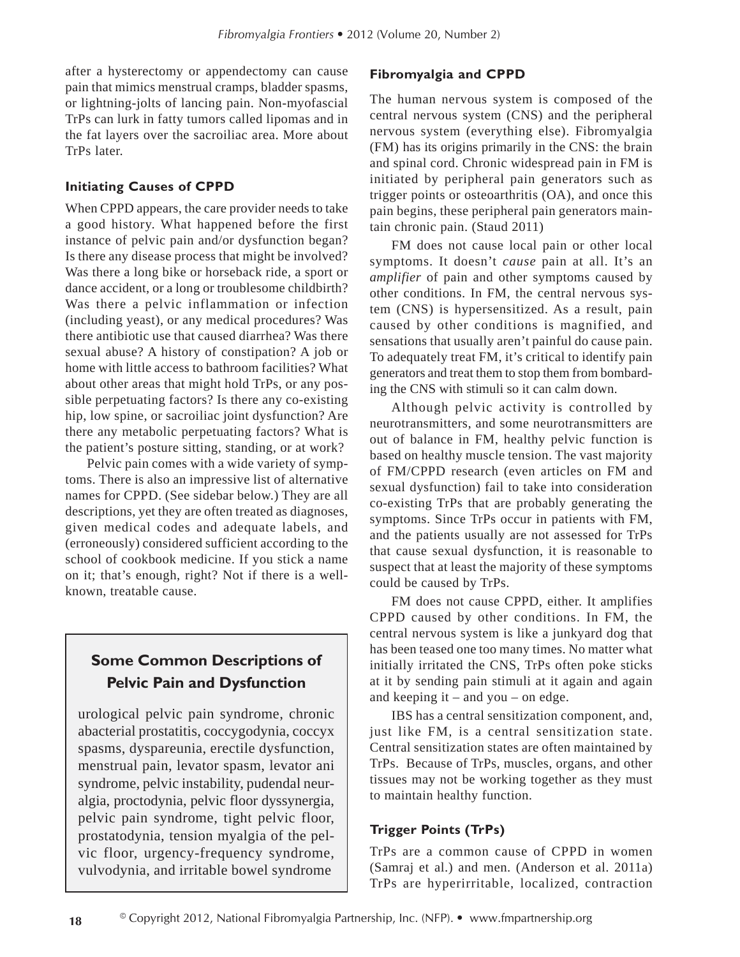after a hysterectomy or appendectomy can cause pain that mimics menstrual cramps, bladder spasms, or lightning-jolts of lancing pain. Non-myofascial TrPs can lurk in fatty tumors called lipomas and in the fat layers over the sacroiliac area. More about TrPs later.

#### **Initiating Causes of CPPD**

When CPPD appears, the care provider needs to take a good history. What happened before the first instance of pelvic pain and/or dysfunction began? Is there any disease process that might be involved? Was there a long bike or horseback ride, a sport or dance accident, or a long or troublesome childbirth? Was there a pelvic inflammation or infection (including yeast), or any medical procedures? Was there antibiotic use that caused diarrhea? Was there sexual abuse? A history of constipation? A job or home with little access to bathroom facilities? What about other areas that might hold TrPs, or any possible perpetuating factors? Is there any co-existing hip, low spine, or sacroiliac joint dysfunction? Are there any metabolic perpetuating factors? What is the patient's posture sitting, standing, or at work?

Pelvic pain comes with a wide variety of symptoms. There is also an impressive list of alternative names for CPPD. (See sidebar below.) They are all descriptions, yet they are often treated as diagnoses, given medical codes and adequate labels, and (erroneously) considered sufficient according to the school of cookbook medicine. If you stick a name on it; that's enough, right? Not if there is a wellknown, treatable cause.

## **Some Common Descriptions of Pelvic Pain and Dysfunction**

urological pelvic pain syndrome, chronic abacterial prostatitis, coccygodynia, coccyx spasms, dyspareunia, erectile dysfunction, menstrual pain, levator spasm, levator ani syndrome, pelvic instability, pudendal neuralgia, proctodynia, pelvic floor dyssynergia, pelvic pain syndrome, tight pelvic floor, prostatodynia, tension myalgia of the pelvic floor, urgency-frequency syndrome, vulvodynia, and irritable bowel syndrome

#### **Fibromyalgia and CPPD**

The human nervous system is composed of the central nervous system (CNS) and the peripheral nervous system (everything else). Fibromyalgia (FM) has its origins primarily in the CNS: the brain and spinal cord. Chronic widespread pain in FM is initiated by peripheral pain generators such as trigger points or osteoarthritis (OA), and once this pain begins, these peripheral pain generators maintain chronic pain. (Staud 2011)

FM does not cause local pain or other local symptoms. It doesn't *cause* pain at all. It's an *amplifier* of pain and other symptoms caused by other conditions. In FM, the central nervous system (CNS) is hypersensitized. As a result, pain caused by other conditions is magnified, and sensations that usually aren't painful do cause pain. To adequately treat FM, it's critical to identify pain generators and treat them to stop them from bombarding the CNS with stimuli so it can calm down.

Although pelvic activity is controlled by neurotransmitters, and some neurotransmitters are out of balance in FM, healthy pelvic function is based on healthy muscle tension. The vast majority of FM/CPPD research (even articles on FM and sexual dysfunction) fail to take into consideration co-existing TrPs that are probably generating the symptoms. Since TrPs occur in patients with FM, and the patients usually are not assessed for TrPs that cause sexual dysfunction, it is reasonable to suspect that at least the majority of these symptoms could be caused by TrPs.

FM does not cause CPPD, either. It amplifies CPPD caused by other conditions. In FM, the central nervous system is like a junkyard dog that has been teased one too many times. No matter what initially irritated the CNS, TrPs often poke sticks at it by sending pain stimuli at it again and again and keeping it – and you – on edge.

IBS has a central sensitization component, and, just like FM, is a central sensitization state. Central sensitization states are often maintained by TrPs. Because of TrPs, muscles, organs, and other tissues may not be working together as they must to maintain healthy function.

#### **Trigger Points (TrPs)**

TrPs are a common cause of CPPD in women (Samraj et al.) and men. (Anderson et al. 2011a) TrPs are hyperirritable, localized, contraction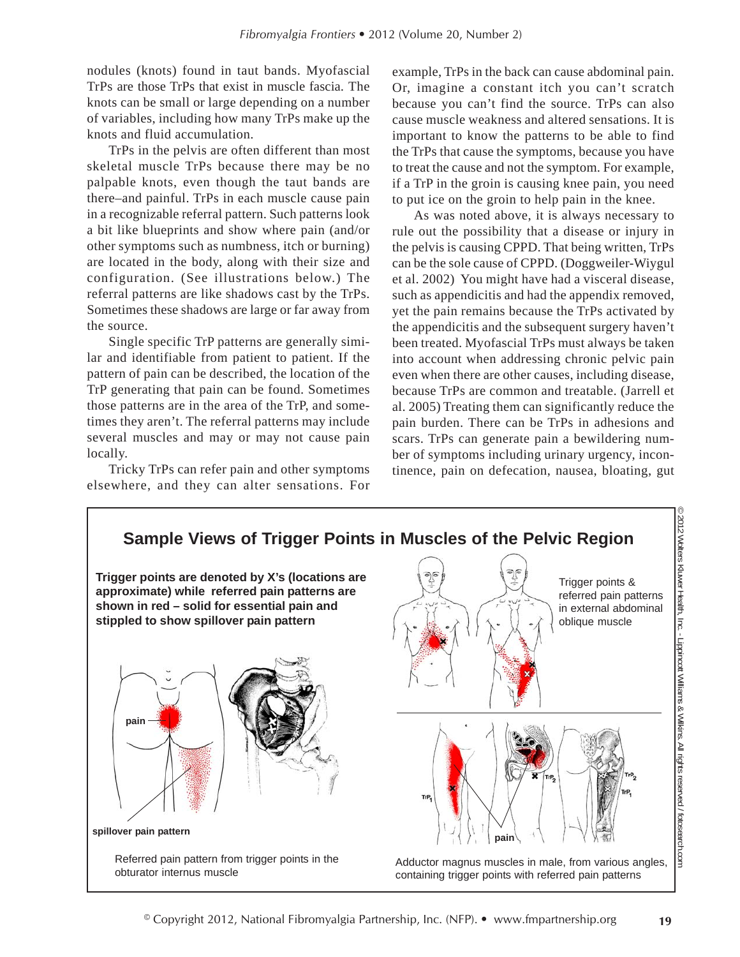nodules (knots) found in taut bands. Myofascial TrPs are those TrPs that exist in muscle fascia. The knots can be small or large depending on a number of variables, including how many TrPs make up the knots and fluid accumulation.

TrPs in the pelvis are often different than most skeletal muscle TrPs because there may be no palpable knots, even though the taut bands are there–and painful. TrPs in each muscle cause pain in a recognizable referral pattern. Such patterns look a bit like blueprints and show where pain (and/or other symptoms such as numbness, itch or burning) are located in the body, along with their size and configuration. (See illustrations below.) The referral patterns are like shadows cast by the TrPs. Sometimes these shadows are large or far away from the source.

Single specific TrP patterns are generally similar and identifiable from patient to patient. If the pattern of pain can be described, the location of the TrP generating that pain can be found. Sometimes those patterns are in the area of the TrP, and sometimes they aren't. The referral patterns may include several muscles and may or may not cause pain locally.

Tricky TrPs can refer pain and other symptoms elsewhere, and they can alter sensations. For example, TrPs in the back can cause abdominal pain. Or, imagine a constant itch you can't scratch because you can't find the source. TrPs can also cause muscle weakness and altered sensations. It is important to know the patterns to be able to find the TrPs that cause the symptoms, because you have to treat the cause and not the symptom. For example, if a TrP in the groin is causing knee pain, you need to put ice on the groin to help pain in the knee.

As was noted above, it is always necessary to rule out the possibility that a disease or injury in the pelvis is causing CPPD. That being written, TrPs can be the sole cause of CPPD. (Doggweiler-Wiygul et al. 2002) You might have had a visceral disease, such as appendicitis and had the appendix removed, yet the pain remains because the TrPs activated by the appendicitis and the subsequent surgery haven't been treated. Myofascial TrPs must always be taken into account when addressing chronic pelvic pain even when there are other causes, including disease, because TrPs are common and treatable. (Jarrell et al. 2005) Treating them can significantly reduce the pain burden. There can be TrPs in adhesions and scars. TrPs can generate pain a bewildering number of symptoms including urinary urgency, incontinence, pain on defecation, nausea, bloating, gut

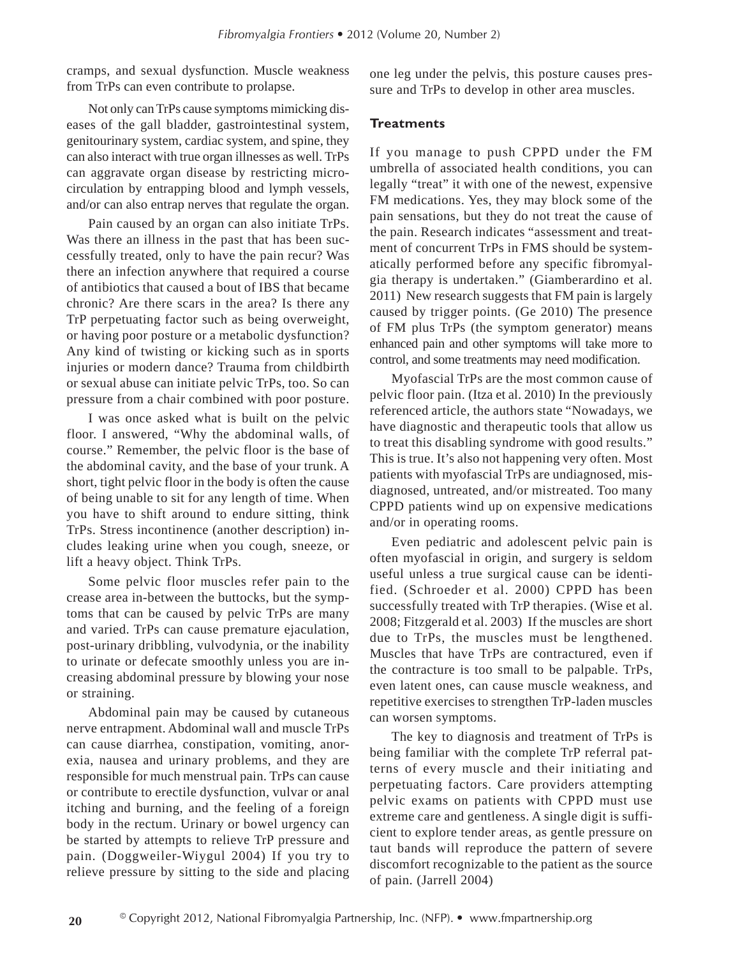cramps, and sexual dysfunction. Muscle weakness from TrPs can even contribute to prolapse.

Not only can TrPs cause symptoms mimicking diseases of the gall bladder, gastrointestinal system, genitourinary system, cardiac system, and spine, they can also interact with true organ illnesses as well. TrPs can aggravate organ disease by restricting microcirculation by entrapping blood and lymph vessels, and/or can also entrap nerves that regulate the organ.

Pain caused by an organ can also initiate TrPs. Was there an illness in the past that has been successfully treated, only to have the pain recur? Was there an infection anywhere that required a course of antibiotics that caused a bout of IBS that became chronic? Are there scars in the area? Is there any TrP perpetuating factor such as being overweight, or having poor posture or a metabolic dysfunction? Any kind of twisting or kicking such as in sports injuries or modern dance? Trauma from childbirth or sexual abuse can initiate pelvic TrPs, too. So can pressure from a chair combined with poor posture.

I was once asked what is built on the pelvic floor. I answered, "Why the abdominal walls, of course." Remember, the pelvic floor is the base of the abdominal cavity, and the base of your trunk. A short, tight pelvic floor in the body is often the cause of being unable to sit for any length of time. When you have to shift around to endure sitting, think TrPs. Stress incontinence (another description) includes leaking urine when you cough, sneeze, or lift a heavy object. Think TrPs.

Some pelvic floor muscles refer pain to the crease area in-between the buttocks, but the symptoms that can be caused by pelvic TrPs are many and varied. TrPs can cause premature ejaculation, post-urinary dribbling, vulvodynia, or the inability to urinate or defecate smoothly unless you are increasing abdominal pressure by blowing your nose or straining.

Abdominal pain may be caused by cutaneous nerve entrapment. Abdominal wall and muscle TrPs can cause diarrhea, constipation, vomiting, anorexia, nausea and urinary problems, and they are responsible for much menstrual pain. TrPs can cause or contribute to erectile dysfunction, vulvar or anal itching and burning, and the feeling of a foreign body in the rectum. Urinary or bowel urgency can be started by attempts to relieve TrP pressure and pain. (Doggweiler-Wiygul 2004) If you try to relieve pressure by sitting to the side and placing

one leg under the pelvis, this posture causes pressure and TrPs to develop in other area muscles.

#### **Treatments**

If you manage to push CPPD under the FM umbrella of associated health conditions, you can legally "treat" it with one of the newest, expensive FM medications. Yes, they may block some of the pain sensations, but they do not treat the cause of the pain. Research indicates "assessment and treatment of concurrent TrPs in FMS should be systematically performed before any specific fibromyalgia therapy is undertaken." (Giamberardino et al. 2011) New research suggests that FM pain is largely caused by trigger points. (Ge 2010) The presence of FM plus TrPs (the symptom generator) means enhanced pain and other symptoms will take more to control, and some treatments may need modification.

Myofascial TrPs are the most common cause of pelvic floor pain. (Itza et al. 2010) In the previously referenced article, the authors state "Nowadays, we have diagnostic and therapeutic tools that allow us to treat this disabling syndrome with good results." This is true. It's also not happening very often. Most patients with myofascial TrPs are undiagnosed, misdiagnosed, untreated, and/or mistreated. Too many CPPD patients wind up on expensive medications and/or in operating rooms.

Even pediatric and adolescent pelvic pain is often myofascial in origin, and surgery is seldom useful unless a true surgical cause can be identified. (Schroeder et al. 2000) CPPD has been successfully treated with TrP therapies. (Wise et al. 2008; Fitzgerald et al. 2003) If the muscles are short due to TrPs, the muscles must be lengthened. Muscles that have TrPs are contractured, even if the contracture is too small to be palpable. TrPs, even latent ones, can cause muscle weakness, and repetitive exercises to strengthen TrP-laden muscles can worsen symptoms.

The key to diagnosis and treatment of TrPs is being familiar with the complete TrP referral patterns of every muscle and their initiating and perpetuating factors. Care providers attempting pelvic exams on patients with CPPD must use extreme care and gentleness. A single digit is sufficient to explore tender areas, as gentle pressure on taut bands will reproduce the pattern of severe discomfort recognizable to the patient as the source of pain. (Jarrell 2004)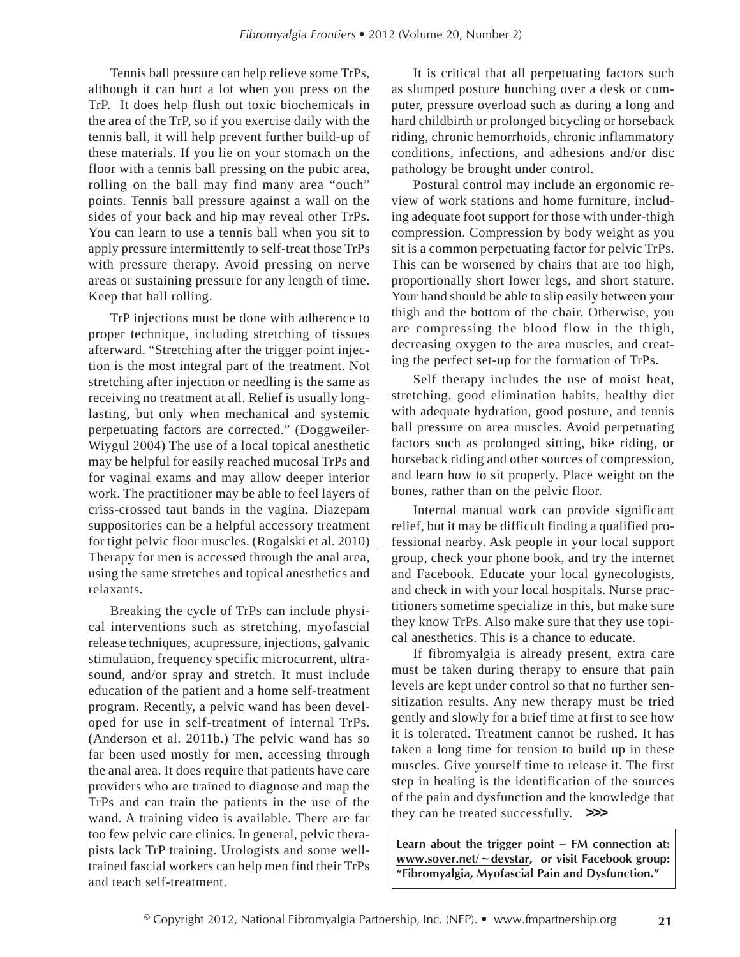Tennis ball pressure can help relieve some TrPs, although it can hurt a lot when you press on the TrP. It does help flush out toxic biochemicals in the area of the TrP, so if you exercise daily with the tennis ball, it will help prevent further build-up of these materials. If you lie on your stomach on the floor with a tennis ball pressing on the pubic area, rolling on the ball may find many area "ouch" points. Tennis ball pressure against a wall on the sides of your back and hip may reveal other TrPs. You can learn to use a tennis ball when you sit to apply pressure intermittently to self-treat those TrPs with pressure therapy. Avoid pressing on nerve areas or sustaining pressure for any length of time. Keep that ball rolling.

TrP injections must be done with adherence to proper technique, including stretching of tissues afterward. "Stretching after the trigger point injection is the most integral part of the treatment. Not stretching after injection or needling is the same as receiving no treatment at all. Relief is usually longlasting, but only when mechanical and systemic perpetuating factors are corrected." (Doggweiler-Wiygul 2004) The use of a local topical anesthetic may be helpful for easily reached mucosal TrPs and for vaginal exams and may allow deeper interior work. The practitioner may be able to feel layers of criss-crossed taut bands in the vagina. Diazepam suppositories can be a helpful accessory treatment for tight pelvic floor muscles. (Rogalski et al. 2010) Therapy for men is accessed through the anal area, using the same stretches and topical anesthetics and relaxants.

Breaking the cycle of TrPs can include physical interventions such as stretching, myofascial release techniques, acupressure, injections, galvanic stimulation, frequency specific microcurrent, ultrasound, and/or spray and stretch. It must include education of the patient and a home self-treatment program. Recently, a pelvic wand has been developed for use in self-treatment of internal TrPs. (Anderson et al. 2011b.) The pelvic wand has so far been used mostly for men, accessing through the anal area. It does require that patients have care providers who are trained to diagnose and map the TrPs and can train the patients in the use of the wand. A training video is available. There are far too few pelvic care clinics. In general, pelvic therapists lack TrP training. Urologists and some welltrained fascial workers can help men find their TrPs and teach self-treatment.

It is critical that all perpetuating factors such as slumped posture hunching over a desk or computer, pressure overload such as during a long and hard childbirth or prolonged bicycling or horseback riding, chronic hemorrhoids, chronic inflammatory conditions, infections, and adhesions and/or disc pathology be brought under control.

Postural control may include an ergonomic review of work stations and home furniture, including adequate foot support for those with under-thigh compression. Compression by body weight as you sit is a common perpetuating factor for pelvic TrPs. This can be worsened by chairs that are too high, proportionally short lower legs, and short stature. Your hand should be able to slip easily between your thigh and the bottom of the chair. Otherwise, you are compressing the blood flow in the thigh, decreasing oxygen to the area muscles, and creating the perfect set-up for the formation of TrPs.

Self therapy includes the use of moist heat, stretching, good elimination habits, healthy diet with adequate hydration, good posture, and tennis ball pressure on area muscles. Avoid perpetuating factors such as prolonged sitting, bike riding, or horseback riding and other sources of compression, and learn how to sit properly. Place weight on the bones, rather than on the pelvic floor.

Internal manual work can provide significant relief, but it may be difficult finding a qualified professional nearby. Ask people in your local support group, check your phone book, and try the internet and Facebook. Educate your local gynecologists, and check in with your local hospitals. Nurse practitioners sometime specialize in this, but make sure they know TrPs. Also make sure that they use topical anesthetics. This is a chance to educate.

If fibromyalgia is already present, extra care must be taken during therapy to ensure that pain levels are kept under control so that no further sensitization results. Any new therapy must be tried gently and slowly for a brief time at first to see how it is tolerated. Treatment cannot be rushed. It has taken a long time for tension to build up in these muscles. Give yourself time to release it. The first step in healing is the identification of the sources of the pain and dysfunction and the knowledge that they can be treated successfully. **>>>**

**Learn about the trigger point – FM connection at: www.sover.net/~devstar, or visit Facebook group: "Fibromyalgia, Myofascial Pain and Dysfunction."**

,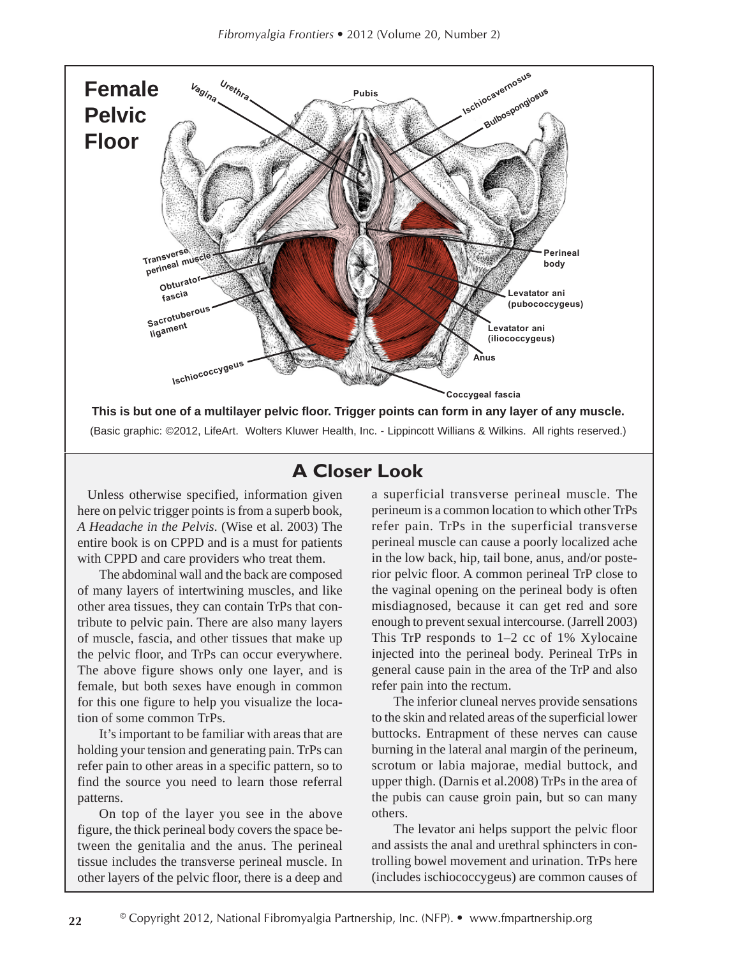

## **A Closer Look**

 Unless otherwise specified, information given here on pelvic trigger points is from a superb book, *A Headache in the Pelvis*. (Wise et al. 2003) The entire book is on CPPD and is a must for patients with CPPD and care providers who treat them.

The abdominal wall and the back are composed of many layers of intertwining muscles, and like other area tissues, they can contain TrPs that contribute to pelvic pain. There are also many layers of muscle, fascia, and other tissues that make up the pelvic floor, and TrPs can occur everywhere. The above figure shows only one layer, and is female, but both sexes have enough in common for this one figure to help you visualize the location of some common TrPs.

It's important to be familiar with areas that are holding your tension and generating pain. TrPs can refer pain to other areas in a specific pattern, so to find the source you need to learn those referral patterns.

On top of the layer you see in the above figure, the thick perineal body covers the space between the genitalia and the anus. The perineal tissue includes the transverse perineal muscle. In other layers of the pelvic floor, there is a deep and

a superficial transverse perineal muscle. The perineum is a common location to which other TrPs refer pain. TrPs in the superficial transverse perineal muscle can cause a poorly localized ache in the low back, hip, tail bone, anus, and/or posterior pelvic floor. A common perineal TrP close to the vaginal opening on the perineal body is often misdiagnosed, because it can get red and sore enough to prevent sexual intercourse. (Jarrell 2003) This TrP responds to 1–2 cc of 1% Xylocaine injected into the perineal body. Perineal TrPs in general cause pain in the area of the TrP and also refer pain into the rectum.

The inferior cluneal nerves provide sensations to the skin and related areas of the superficial lower buttocks. Entrapment of these nerves can cause burning in the lateral anal margin of the perineum, scrotum or labia majorae, medial buttock, and upper thigh. (Darnis et al.2008) TrPs in the area of the pubis can cause groin pain, but so can many others.

The levator ani helps support the pelvic floor and assists the anal and urethral sphincters in controlling bowel movement and urination. TrPs here (includes ischiococcygeus) are common causes of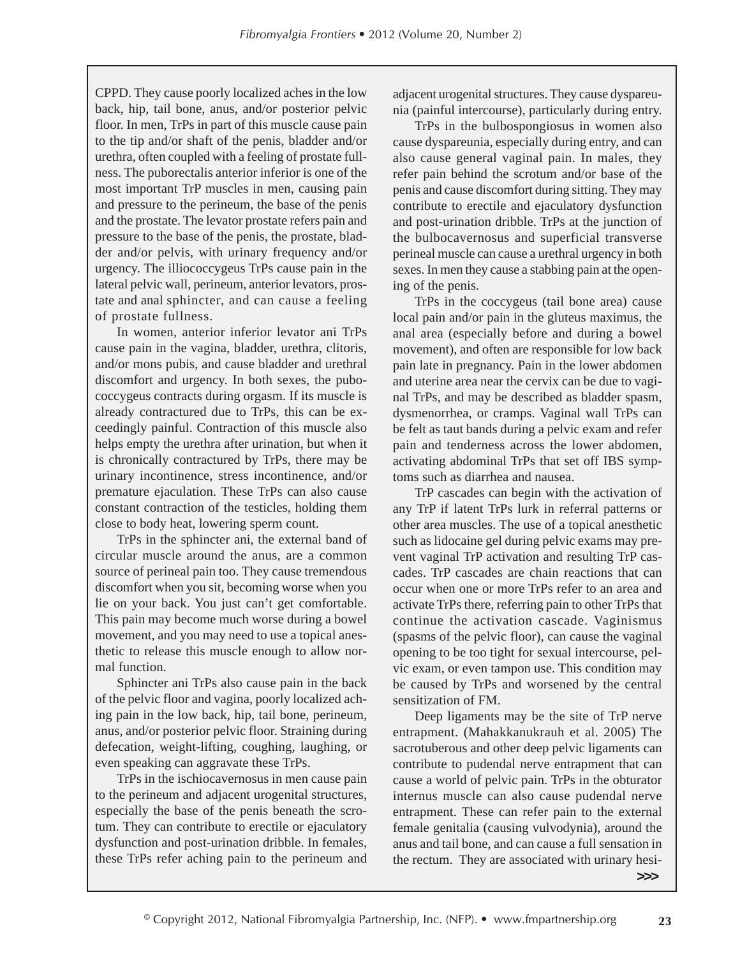CPPD. They cause poorly localized aches in the low back, hip, tail bone, anus, and/or posterior pelvic floor. In men, TrPs in part of this muscle cause pain to the tip and/or shaft of the penis, bladder and/or urethra, often coupled with a feeling of prostate fullness. The puborectalis anterior inferior is one of the most important TrP muscles in men, causing pain and pressure to the perineum, the base of the penis and the prostate. The levator prostate refers pain and pressure to the base of the penis, the prostate, bladder and/or pelvis, with urinary frequency and/or urgency. The illiococcygeus TrPs cause pain in the lateral pelvic wall, perineum, anterior levators, prostate and anal sphincter, and can cause a feeling of prostate fullness.

In women, anterior inferior levator ani TrPs cause pain in the vagina, bladder, urethra, clitoris, and/or mons pubis, and cause bladder and urethral discomfort and urgency. In both sexes, the pubococcygeus contracts during orgasm. If its muscle is already contractured due to TrPs, this can be exceedingly painful. Contraction of this muscle also helps empty the urethra after urination, but when it is chronically contractured by TrPs, there may be urinary incontinence, stress incontinence, and/or premature ejaculation. These TrPs can also cause constant contraction of the testicles, holding them close to body heat, lowering sperm count.

TrPs in the sphincter ani, the external band of circular muscle around the anus, are a common source of perineal pain too. They cause tremendous discomfort when you sit, becoming worse when you lie on your back. You just can't get comfortable. This pain may become much worse during a bowel movement, and you may need to use a topical anesthetic to release this muscle enough to allow normal function.

Sphincter ani TrPs also cause pain in the back of the pelvic floor and vagina, poorly localized aching pain in the low back, hip, tail bone, perineum, anus, and/or posterior pelvic floor. Straining during defecation, weight-lifting, coughing, laughing, or even speaking can aggravate these TrPs.

TrPs in the ischiocavernosus in men cause pain to the perineum and adjacent urogenital structures, especially the base of the penis beneath the scrotum. They can contribute to erectile or ejaculatory dysfunction and post-urination dribble. In females, these TrPs refer aching pain to the perineum and

adjacent urogenital structures. They cause dyspareunia (painful intercourse), particularly during entry.

TrPs in the bulbospongiosus in women also cause dyspareunia, especially during entry, and can also cause general vaginal pain. In males, they refer pain behind the scrotum and/or base of the penis and cause discomfort during sitting. They may contribute to erectile and ejaculatory dysfunction and post-urination dribble. TrPs at the junction of the bulbocavernosus and superficial transverse perineal muscle can cause a urethral urgency in both sexes. In men they cause a stabbing pain at the opening of the penis.

TrPs in the coccygeus (tail bone area) cause local pain and/or pain in the gluteus maximus, the anal area (especially before and during a bowel movement), and often are responsible for low back pain late in pregnancy. Pain in the lower abdomen and uterine area near the cervix can be due to vaginal TrPs, and may be described as bladder spasm, dysmenorrhea, or cramps. Vaginal wall TrPs can be felt as taut bands during a pelvic exam and refer pain and tenderness across the lower abdomen, activating abdominal TrPs that set off IBS symptoms such as diarrhea and nausea.

TrP cascades can begin with the activation of any TrP if latent TrPs lurk in referral patterns or other area muscles. The use of a topical anesthetic such as lidocaine gel during pelvic exams may prevent vaginal TrP activation and resulting TrP cascades. TrP cascades are chain reactions that can occur when one or more TrPs refer to an area and activate TrPs there, referring pain to other TrPs that continue the activation cascade. Vaginismus (spasms of the pelvic floor), can cause the vaginal opening to be too tight for sexual intercourse, pelvic exam, or even tampon use. This condition may be caused by TrPs and worsened by the central sensitization of FM.

Deep ligaments may be the site of TrP nerve entrapment. (Mahakkanukrauh et al. 2005) The sacrotuberous and other deep pelvic ligaments can contribute to pudendal nerve entrapment that can cause a world of pelvic pain. TrPs in the obturator internus muscle can also cause pudendal nerve entrapment. These can refer pain to the external female genitalia (causing vulvodynia), around the anus and tail bone, and can cause a full sensation in the rectum. They are associated with urinary hesi-

**>>>**